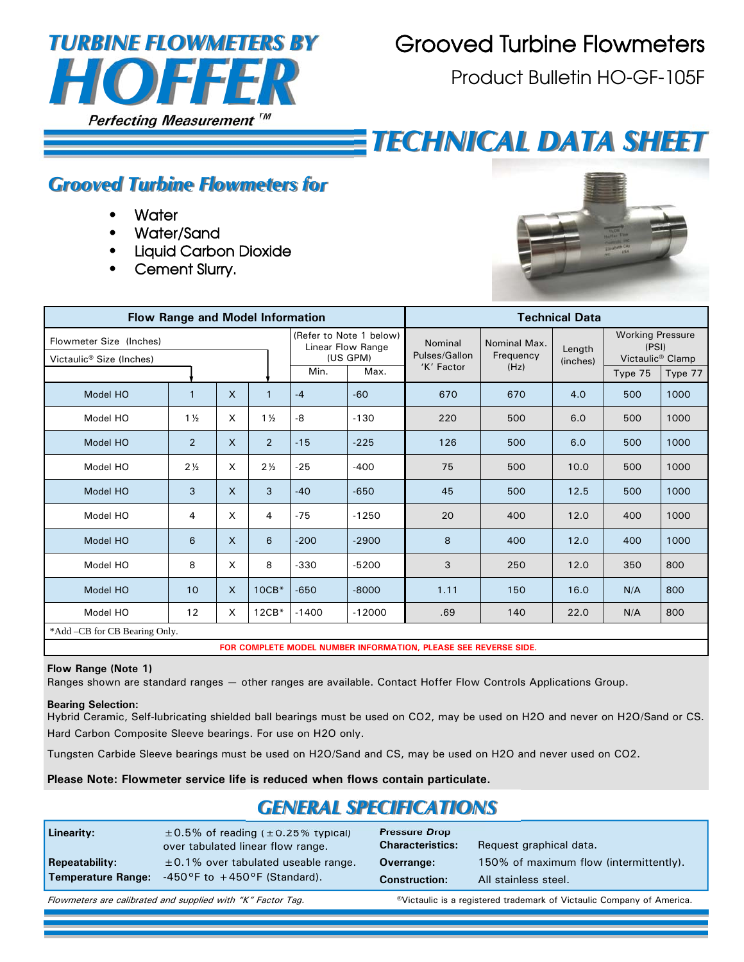

## Grooved Turbine Flowmeters

Product Bulletin HO-GF-105F

# *TECHNICAL DATA SHEET*

### *Grooved Turbine Flowmeters for*

- **•** Water
- Water/Sand
- Liquid Carbon Dioxide
- Cement Slurry.



|                                                                 | <b>Flow Range and Model Information</b> |                              |                                                          | <b>Technical Data</b>    |                           |                    |                                                                  |      |         |         |  |
|-----------------------------------------------------------------|-----------------------------------------|------------------------------|----------------------------------------------------------|--------------------------|---------------------------|--------------------|------------------------------------------------------------------|------|---------|---------|--|
| Flowmeter Size (Inches)<br>Victaulic <sup>®</sup> Size (Inches) |                                         |                              | (Refer to Note 1 below)<br>Linear Flow Range<br>(US GPM) | Nominal<br>Pulses/Gallon | Nominal Max.<br>Frequency | Length<br>(inches) | <b>Working Pressure</b><br>(PSI)<br>Victaulic <sup>®</sup> Clamp |      |         |         |  |
|                                                                 |                                         |                              |                                                          | Min.<br>Max.             |                           | 'K' Factor         | (Hz)                                                             |      | Type 75 | Type 77 |  |
| Model HO                                                        | $\mathbf{1}$                            | $\mathsf{X}$<br>$\mathbf{1}$ |                                                          | $-4$                     | $-60$                     | 670                | 670                                                              | 4.0  | 500     | 1000    |  |
| Model HO                                                        | $1\frac{1}{2}$                          | X                            | $1\frac{1}{2}$                                           | -8                       | $-130$                    | 220                | 500                                                              | 6.0  | 500     | 1000    |  |
| Model HO                                                        | 2                                       | $\mathsf{x}$                 | $\overline{2}$                                           | $-15$                    | $-225$                    | 126                | 500                                                              | 6.0  | 500     | 1000    |  |
| Model HO                                                        | $2\frac{1}{2}$                          | X                            | $2\frac{1}{2}$                                           | $-25$                    | $-400$                    | 75                 | 500                                                              | 10.0 | 500     | 1000    |  |
| Model HO                                                        | 3                                       | $\mathsf{x}$                 | 3                                                        | $-40$                    | $-650$                    | 45                 | 500                                                              | 12.5 | 500     | 1000    |  |
| Model HO                                                        | 4                                       | X                            | 4                                                        | $-75$                    | $-1250$                   | 20                 | 400                                                              | 12.0 | 400     | 1000    |  |
| Model HO                                                        | 6                                       | $\mathsf{x}$                 | 6                                                        | $-200$                   | $-2900$                   | 8                  | 400                                                              | 12.0 | 400     | 1000    |  |
| Model HO                                                        | 8                                       | $\boldsymbol{\mathsf{x}}$    | 8                                                        | $-330$                   | $-5200$                   | 3                  | 250                                                              | 12.0 | 350     | 800     |  |
| Model HO                                                        | 10                                      | $\mathsf{X}$                 | $10CB*$                                                  | $-650$                   | $-8000$                   | 1.11               | 150                                                              | 16.0 | N/A     | 800     |  |
| Model HO                                                        | 12                                      | X                            | $12CB*$                                                  | $-1400$                  | $-12000$                  | .69                | 140                                                              | 22.0 | N/A     | 800     |  |
| *Add -CB for CB Bearing Only.                                   |                                         |                              |                                                          |                          |                           |                    |                                                                  |      |         |         |  |

**FOR COMPLETE MODEL NUMBER INFORMATION, PLEASE SEE REVERSE SIDE.** 

#### **Flow Range (Note 1)**

Ranges shown are standard ranges — other ranges are available. Contact Hoffer Flow Controls Applications Group.

#### **Bearing Selection:**

Hybrid Ceramic, Self-lubricating shielded ball bearings must be used on CO2, may be used on H2O and never on H2O/Sand or CS. Hard Carbon Composite Sleeve bearings. For use on H2O only.

Tungsten Carbide Sleeve bearings must be used on H2O/Sand and CS, may be used on H2O and never used on CO2.

**Please Note: Flowmeter service life is reduced when flows contain particulate.** 

## *GENERAL SPECIFICATIONS*

| Linearity:<br><b>Repeatability:</b><br><b>Temperature Range:</b> | $\pm$ 0.5% of reading ( $\pm$ 0.25% typical)<br>over tabulated linear flow range.<br>$\pm$ 0.1% over tabulated useable range.<br>$-450$ °F to $+450$ °F (Standard). | <b>Pressure Drop</b><br><b>Characteristics:</b><br>Overrange:<br><b>Construction:</b> | Request graphical data.<br>150% of maximum flow (intermittently).<br>All stainless steel. |
|------------------------------------------------------------------|---------------------------------------------------------------------------------------------------------------------------------------------------------------------|---------------------------------------------------------------------------------------|-------------------------------------------------------------------------------------------|
|                                                                  |                                                                                                                                                                     |                                                                                       |                                                                                           |
|                                                                  | Flowmeters are calibrated and supplied with "K" Factor Tag.                                                                                                         |                                                                                       | <sup>®</sup> Victaulic is a registered trademark of Victaulic Company of America.         |